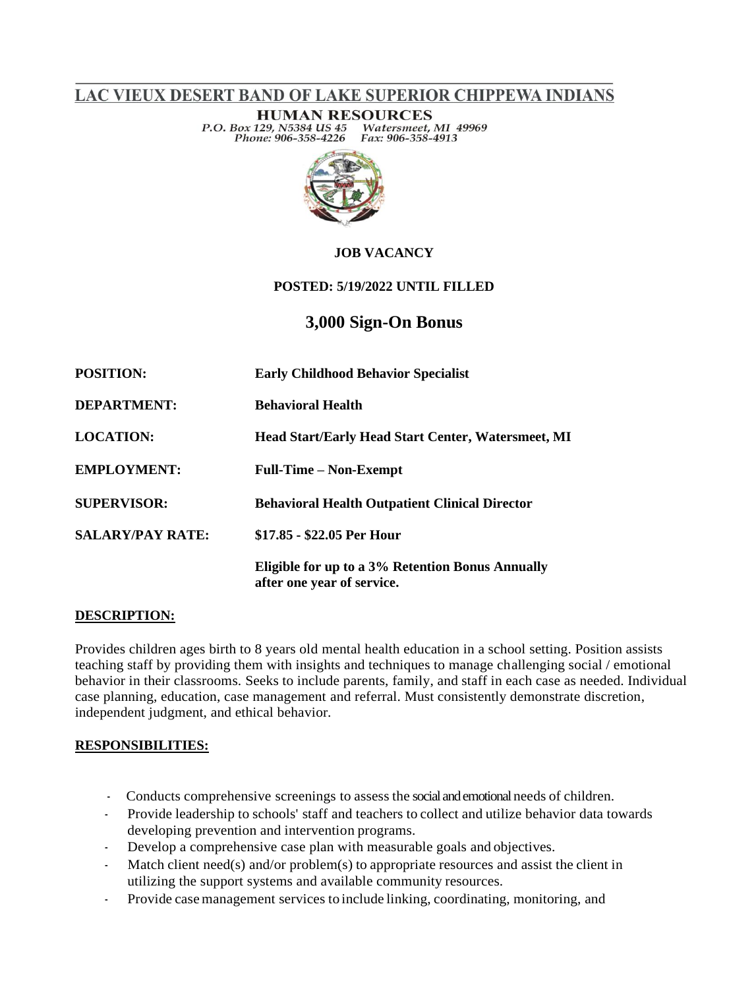LAC VIEUX DESERT BAND OF LAKE SUPERIOR CHIPPEWA INDIANS

**HUMAN RESOURCES** P.O. Box 129, N5384 US 45<br>Phone: 906-358-4226 Watersmeet, MI 49969 Fax: 906-358-4913



## **JOB VACANCY**

### **POSTED: 5/19/2022 UNTIL FILLED**

# **3,000 Sign-On Bonus**

| <b>POSITION:</b>        | <b>Early Childhood Behavior Specialist</b>                                     |
|-------------------------|--------------------------------------------------------------------------------|
| <b>DEPARTMENT:</b>      | <b>Behavioral Health</b>                                                       |
| <b>LOCATION:</b>        | <b>Head Start/Early Head Start Center, Watersmeet, MI</b>                      |
| <b>EMPLOYMENT:</b>      | <b>Full-Time – Non-Exempt</b>                                                  |
| <b>SUPERVISOR:</b>      | <b>Behavioral Health Outpatient Clinical Director</b>                          |
| <b>SALARY/PAY RATE:</b> | \$17.85 - \$22.05 Per Hour                                                     |
|                         | Eligible for up to a 3% Retention Bonus Annually<br>after one year of service. |

### **DESCRIPTION:**

Provides children ages birth to 8 years old mental health education in a school setting. Position assists teaching staff by providing them with insights and techniques to manage challenging social / emotional behavior in their classrooms. Seeks to include parents, family, and staff in each case as needed. Individual case planning, education, case management and referral. Must consistently demonstrate discretion, independent judgment, and ethical behavior.

### **RESPONSIBILITIES:**

- Conducts comprehensive screenings to assess the social and emotional needs of children.
- Provide leadership to schools' staff and teachers to collect and utilize behavior data towards developing prevention and intervention programs.
- Develop a comprehensive case plan with measurable goals and objectives.
- Match client need(s) and/or problem(s) to appropriate resources and assist the client in utilizing the support systems and available community resources.
- Provide casemanagement services to include linking, coordinating, monitoring, and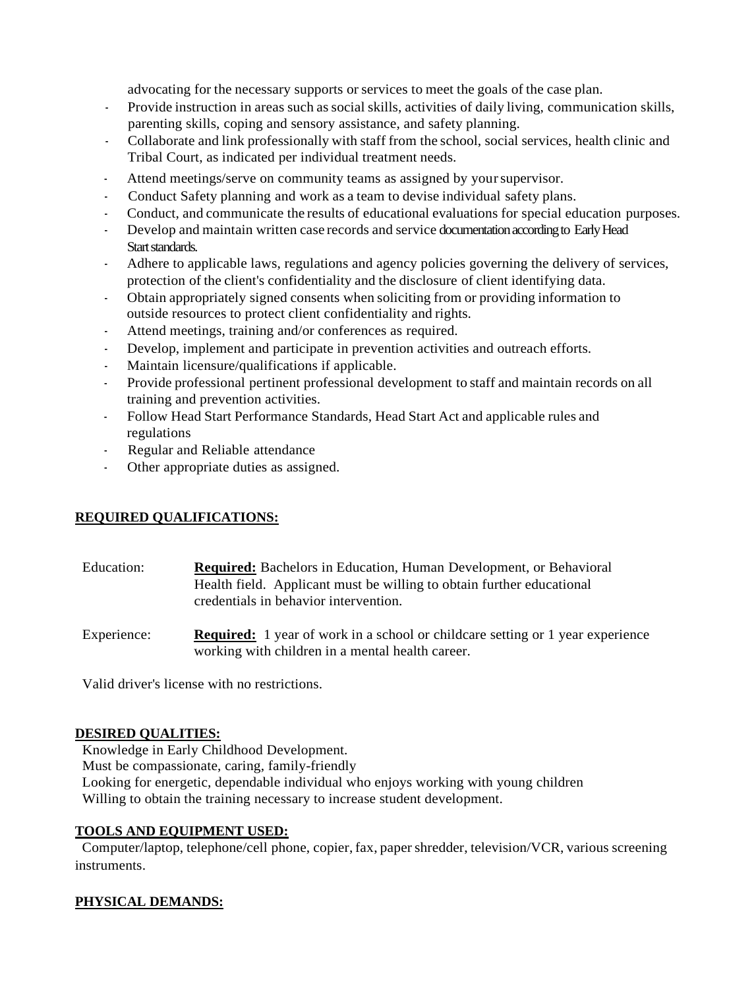advocating for the necessary supports or services to meet the goals of the case plan.

- Provide instruction in areas such associal skills, activities of daily living, communication skills, parenting skills, coping and sensory assistance, and safety planning.
- Collaborate and link professionally with staff from the school, social services, health clinic and Tribal Court, as indicated per individual treatment needs.
- Attend meetings/serve on community teams as assigned by yoursupervisor.
- Conduct Safety planning and work as a team to devise individual safety plans.
- Conduct, and communicate the results of educational evaluations for special education purposes.
- Develop and maintain written case records and service documentation according to Early Head Start standards.
- Adhere to applicable laws, regulations and agency policies governing the delivery of services, protection of the client's confidentiality and the disclosure of client identifying data.
- Obtain appropriately signed consents when soliciting from or providing information to outside resources to protect client confidentiality and rights.
- Attend meetings, training and/or conferences as required.
- Develop, implement and participate in prevention activities and outreach efforts.
- Maintain licensure/qualifications if applicable.
- Provide professional pertinent professional development to staff and maintain records on all training and prevention activities.
- Follow Head Start Performance Standards, Head Start Act and applicable rules and regulations
- Regular and Reliable attendance
- Other appropriate duties as assigned.

# **REQUIRED QUALIFICATIONS:**

| Education: | <b>Required:</b> Bachelors in Education, Human Development, or Behavioral |
|------------|---------------------------------------------------------------------------|
|            | Health field. Applicant must be willing to obtain further educational     |
|            | credentials in behavior intervention.                                     |

Experience: **Required:** 1 year of work in a school or childcare setting or 1 year experience working with children in a mental health career.

Valid driver's license with no restrictions.

### **DESIRED QUALITIES:**

 Knowledge in Early Childhood Development. Must be compassionate, caring, family-friendly Looking for energetic, dependable individual who enjoys working with young children Willing to obtain the training necessary to increase student development.

### **TOOLS AND EQUIPMENT USED:**

 Computer/laptop, telephone/cell phone, copier, fax, papershredder, television/VCR, various screening instruments.

# **PHYSICAL DEMANDS:**